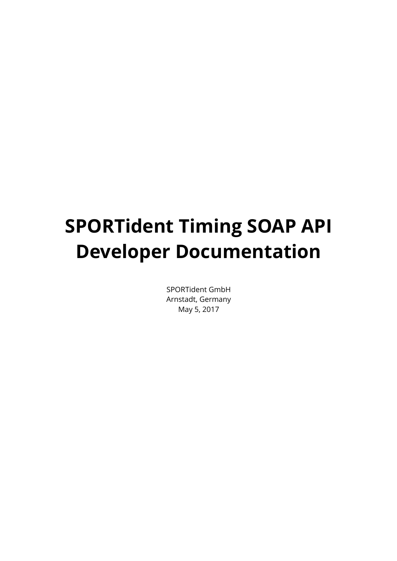# **SPORTident Timing SOAP API Developer Documentation**

SPORTident GmbH Arnstadt, Germany May 5, 2017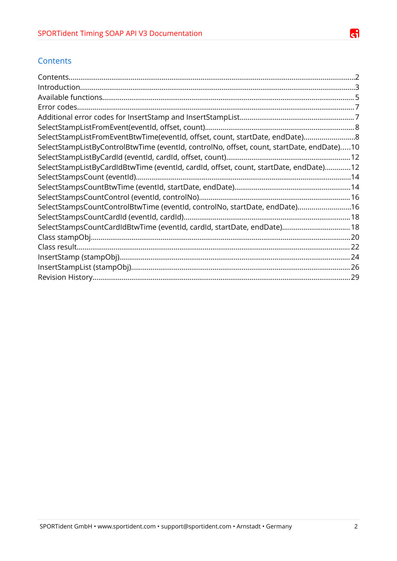

## <span id="page-1-0"></span>**Contents**

| SelectStampListFromEventBtwTime(eventId, offset, count, startDate, endDate)8              |  |
|-------------------------------------------------------------------------------------------|--|
| SelectStampListByControlBtwTime (eventId, controlNo, offset, count, startDate, endDate)10 |  |
|                                                                                           |  |
| SelectStampListByCardIdBtwTime (eventId, cardId, offset, count, startDate, endDate)12     |  |
|                                                                                           |  |
|                                                                                           |  |
|                                                                                           |  |
| SelectStampsCountControlBtwTime (eventId, controlNo, startDate, endDate)16                |  |
|                                                                                           |  |
| SelectStampsCountCardIdBtwTime (eventId, cardId, startDate, endDate) 18                   |  |
|                                                                                           |  |
|                                                                                           |  |
|                                                                                           |  |
|                                                                                           |  |
|                                                                                           |  |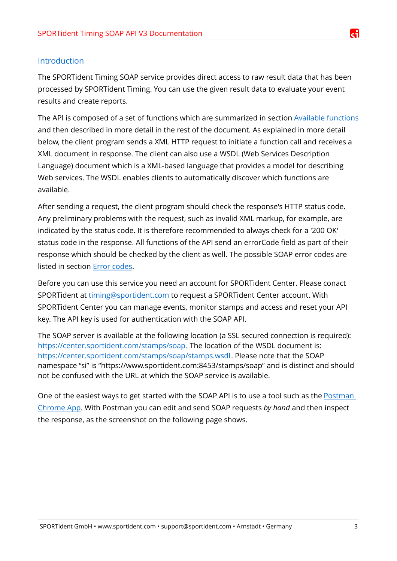## <span id="page-2-0"></span>Introduction

The SPORTident Timing SOAP service provides direct access to raw result data that has been processed by SPORTident Timing. You can use the given result data to evaluate your event results and create reports.

The API is composed of a set of functions which are summarized in section [Available functions](#page-4-0) and then described in more detail in the rest of the document. As explained in more detail below, the client program sends a XML HTTP request to initiate a function call and receives a XML document in response. The client can also use a WSDL (Web Services Description Language) document which is a XML-based language that provides a model for describing Web services. The WSDL enables clients to automatically discover which functions are available.

After sending a request, the client program should check the response's HTTP status code. Any preliminary problems with the request, such as invalid XML markup, for example, are indicated by the status code. It is therefore recommended to always check for a '200 OK' status code in the response. All functions of the API send an errorCode field as part of their response which should be checked by the client as well. The possible SOAP error codes are listed in section [Error codes.](#page-6-1)

Before you can use this service you need an account for SPORTident Center. Please conact SPORTident at [timing@sportident.com](mailto:timing@sportident.com) to request a SPORTident Center account. With SPORTident Center you can manage events, monitor stamps and access and reset your API key. The API key is used for authentication with the SOAP API.

The SOAP server is available at the following location (a SSL secured connection is required): [https://center.sportident.com/stamps/soap.](https://center.sportident.com/stamps/soap) The location of the WSDL document is: [https://center.sportident.com/stamps/soap/stamps.wsdl.](https://center.sportident.com/stamps/soap/stamps.wsdl) Please note that the SOAP namespace "si" is "https://www.sportident.com:8453/stamps/soap" and is distinct and should not be confused with the URL at which the SOAP service is available.

One of the easiest ways to get started with the SOAP API is to use a tool such as the [Postman](https://www.getpostman.com/)  [Chrome App.](https://www.getpostman.com/) With Postman you can edit and send SOAP requests *by hand* and then inspect the response, as the screenshot on the following page shows.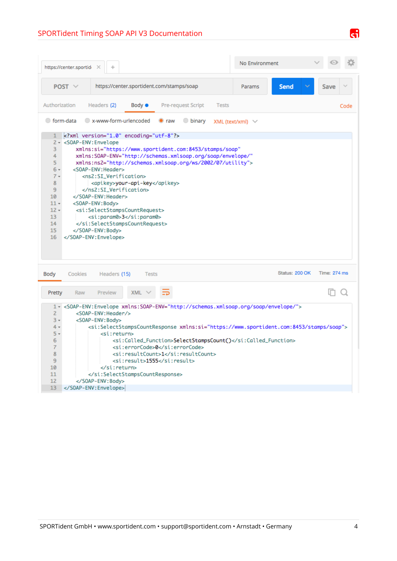# SPORTident Timing SOAP API V3 Documentation

| https://center.sportid                                                                                                                                                                                                                                                                                                                                                                                                                                                                                                                                                                                                                                                                                            | No Environment        |                     |
|-------------------------------------------------------------------------------------------------------------------------------------------------------------------------------------------------------------------------------------------------------------------------------------------------------------------------------------------------------------------------------------------------------------------------------------------------------------------------------------------------------------------------------------------------------------------------------------------------------------------------------------------------------------------------------------------------------------------|-----------------------|---------------------|
| https://center.sportident.com/stamps/soap<br>POST $\vee$                                                                                                                                                                                                                                                                                                                                                                                                                                                                                                                                                                                                                                                          | Send<br>Params        | Save                |
| Authorization<br>Headers (2)<br><b>Body ●</b><br><b>Pre-request Script</b><br><b>Tests</b>                                                                                                                                                                                                                                                                                                                                                                                                                                                                                                                                                                                                                        |                       | Code                |
| x-www-form-urlencoded<br>◯ form-data<br><b>binary</b><br>$\bullet$ raw                                                                                                                                                                                                                                                                                                                                                                                                                                                                                                                                                                                                                                            | XML (text/xml) $\vee$ |                     |
| xml version="1.0" encoding="utf-8"?<br>2 - <soap-env: envelope<br="">3<br/>xmlns:si="https://www.sportident.com:8453/stamps/soap"<br/>4<br/>xmlns:SOAP-ENV="http://schemas.xmlsoap.org/soap/envelope/"<br/>5<br/>xmlns:ns2="http://schemas.xmlsoap.org/ws/2002/07/utility"&gt;<br/><soap-env: header=""><br/><math>6 -</math><br/><ns2:si_verification><br/><math>7 -</math><br/><apikey>your-api-key</apikey><br/>8<br/>9<br/></ns2:si_verification><br/></soap-env:><br/>10<br/><math>11 -</math><br/><s0ap-env:body><br/><math>12 -</math><br/><si:selectstampscountrequest><br/>13<br/><si:param0>3</si:param0><br/>14<br/></si:selectstampscountrequest><br/>15<br/></s0ap-env:body><br/>16<br/></soap-env:> |                       |                     |
| Cookies<br>Headers (15)<br><b>Body</b><br><b>Tests</b>                                                                                                                                                                                                                                                                                                                                                                                                                                                                                                                                                                                                                                                            | Status: 200 OK        | <b>Time: 274 ms</b> |
| $XML \vee$<br>Pretty<br>Preview<br>Raw                                                                                                                                                                                                                                                                                                                                                                                                                                                                                                                                                                                                                                                                            |                       | In O                |
| 1 < <soap-env:envelope xmlns:soap-env="http://schemas.xmlsoap.org/soap/envelope/"><br/><math>\overline{2}</math><br/><soap-env:header></soap-env:header><br/><math>3 -</math><br/><soap-env:body><br/><si:selectstampscountresponse xmlns:si="https://www.sportident.com:8453/stamps/soap"><br/><math>4 -</math><br/><math>5 -</math><br/><si:return><br/>6<br/><si:called_function>SelectStampsCount()</si:called_function><br/><si:errorcode>0</si:errorcode><br/>7<br/><si:resultcount>1</si:resultcount><br/>8<br/><si:result>1555</si:result><br/>9<br/>10<br/></si:return><br/>11<br/></si:selectstampscountresponse><br/>12<br/><br/>13<br/></soap-env:body></soap-env:envelope>                           |                       |                     |

 $\mathbf{d}$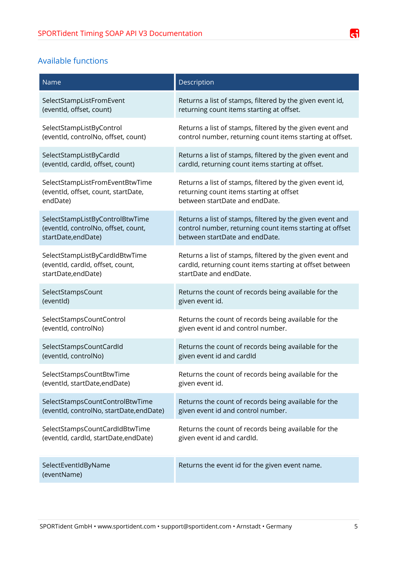# <span id="page-4-0"></span>Available functions

| Name                                     | Description                                               |
|------------------------------------------|-----------------------------------------------------------|
| SelectStampListFromEvent                 | Returns a list of stamps, filtered by the given event id, |
| (eventid, offset, count)                 | returning count items starting at offset.                 |
| SelectStampListByControl                 | Returns a list of stamps, filtered by the given event and |
| (eventId, controlNo, offset, count)      | control number, returning count items starting at offset. |
| SelectStampListByCardId                  | Returns a list of stamps, filtered by the given event and |
| (eventid, cardid, offset, count)         | cardId, returning count items starting at offset.         |
| SelectStampListFromEventBtwTime          | Returns a list of stamps, filtered by the given event id, |
| (eventId, offset, count, startDate,      | returning count items starting at offset                  |
| endDate)                                 | between startDate and endDate.                            |
| SelectStampListByControlBtwTime          | Returns a list of stamps, filtered by the given event and |
| (eventId, controlNo, offset, count,      | control number, returning count items starting at offset  |
| startDate, endDate)                      | between startDate and endDate.                            |
| SelectStampListByCardIdBtwTime           | Returns a list of stamps, filtered by the given event and |
| (eventld, cardId, offset, count,         | cardId, returning count items starting at offset between  |
| startDate, endDate)                      | startDate and endDate.                                    |
| SelectStampsCount                        | Returns the count of records being available for the      |
| (eventid)                                | given event id.                                           |
| SelectStampsCountControl                 | Returns the count of records being available for the      |
| (eventId, controlNo)                     | given event id and control number.                        |
| SelectStampsCountCardId                  | Returns the count of records being available for the      |
| (eventid, controlNo)                     | given event id and cardId                                 |
| SelectStampsCountBtwTime                 | Returns the count of records being available for the      |
| (eventId, startDate, endDate)            | given event id.                                           |
| SelectStampsCountControlBtwTime          | Returns the count of records being available for the      |
| (eventId, controlNo, startDate, endDate) | given event id and control number.                        |
| SelectStampsCountCardIdBtwTime           | Returns the count of records being available for the      |
| (eventId, cardId, startDate, endDate)    | given event id and cardId.                                |
| SelectEventIdByName<br>(eventName)       | Returns the event id for the given event name.            |

 $\mathbf{d}$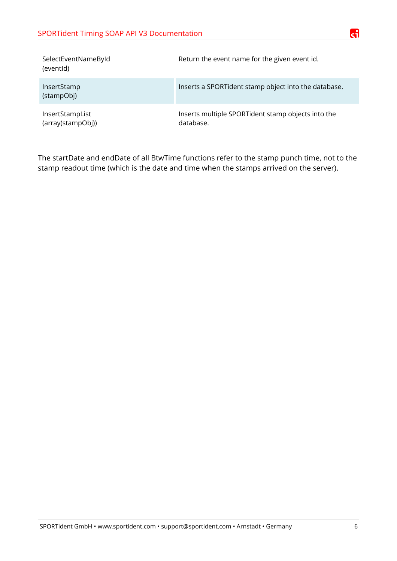| SelectEventNameById<br>(eventid)     | Return the event name for the given event id.                   |
|--------------------------------------|-----------------------------------------------------------------|
| InsertStamp<br>(stampObj)            | Inserts a SPORTident stamp object into the database.            |
| InsertStampList<br>(array(stampObj)) | Inserts multiple SPORTident stamp objects into the<br>database. |

The startDate and endDate of all BtwTime functions refer to the stamp punch time, not to the stamp readout time (which is the date and time when the stamps arrived on the server).

æ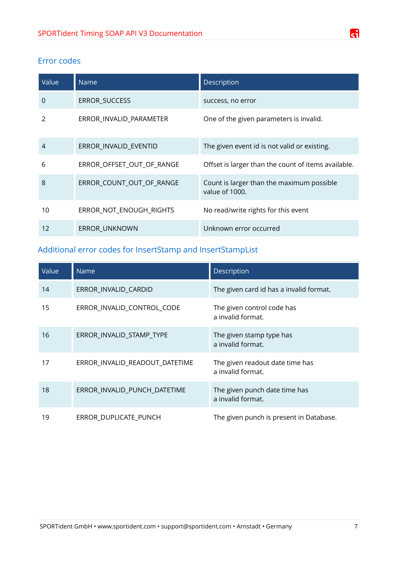# G

# <span id="page-6-1"></span>Error codes

| Value          | Name                      | Description                                                 |
|----------------|---------------------------|-------------------------------------------------------------|
| 0              | ERROR_SUCCESS             | success, no error                                           |
| 2              | ERROR_INVALID_PARAMETER   | One of the given parameters is invalid.                     |
| $\overline{4}$ | ERROR_INVALID_EVENTID     | The given event id is not valid or existing.                |
| 6              | ERROR_OFFSET_OUT_OF_RANGE | Offset is larger than the count of items available.         |
| 8              | ERROR_COUNT_OUT_OF_RANGE  | Count is larger than the maximum possible<br>value of 1000. |
| 10             | ERROR_NOT_ENOUGH_RIGHTS   | No read/write rights for this event                         |
| 12             | <b>ERROR UNKNOWN</b>      | Unknown error occurred                                      |

# <span id="page-6-0"></span>Additional error codes for InsertStamp and InsertStampList

| Value | <b>Name</b>                    | Description                                          |
|-------|--------------------------------|------------------------------------------------------|
| 14    | ERROR_INVALID_CARDID           | The given card id has a invalid format.              |
| 15    | ERROR_INVALID_CONTROL_CODE     | The given control code has<br>a invalid format.      |
| 16    | ERROR_INVALID_STAMP_TYPE       | The given stamp type has<br>a invalid format.        |
| 17    | ERROR_INVALID_READOUT_DATETIME | The given readout date time has<br>a invalid format. |
| 18    | ERROR_INVALID_PUNCH_DATETIME   | The given punch date time has<br>a invalid format.   |
| 19    | ERROR DUPLICATE PUNCH          | The given punch is present in Database.              |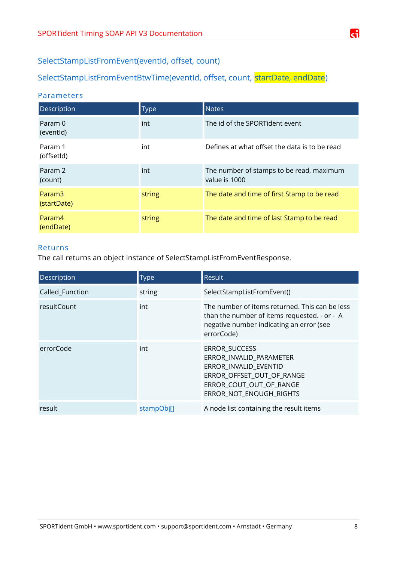

# <span id="page-7-1"></span>SelectStampListFromEvent(eventId, offset, count)

# <span id="page-7-0"></span>SelectStampListFromEventBtwTime(eventId, offset, count, startDate, endDate)

## Parameters

| Description                   | <b>Type</b> | <b>Notes</b>                                              |
|-------------------------------|-------------|-----------------------------------------------------------|
| Param 0<br>(eventid)          | int         | The id of the SPORTident event                            |
| Param 1<br>(offsetId)         | int         | Defines at what offset the data is to be read             |
| Param <sub>2</sub><br>(count) | int         | The number of stamps to be read, maximum<br>value is 1000 |
| Param3<br>(startDate)         | string      | The date and time of first Stamp to be read               |
| Param4<br>(endDate)           | string      | The date and time of last Stamp to be read                |

## Returns

The call returns an object instance of SelectStampListFromEventResponse.

| <b>Description</b> | <b>Type</b> | Result                                                                                                                                                      |
|--------------------|-------------|-------------------------------------------------------------------------------------------------------------------------------------------------------------|
| Called_Function    | string      | SelectStampListFromEvent()                                                                                                                                  |
| resultCount        | int         | The number of items returned. This can be less<br>than the number of items requested. - or - A<br>negative number indicating an error (see<br>errorCode)    |
| errorCode          | int         | <b>ERROR SUCCESS</b><br>ERROR_INVALID_PARAMETER<br>ERROR_INVALID_EVENTID<br>ERROR_OFFSET_OUT_OF_RANGE<br>ERROR_COUT_OUT_OF_RANGE<br>ERROR NOT ENOUGH RIGHTS |
| result             | stampObil1  | A node list containing the result items                                                                                                                     |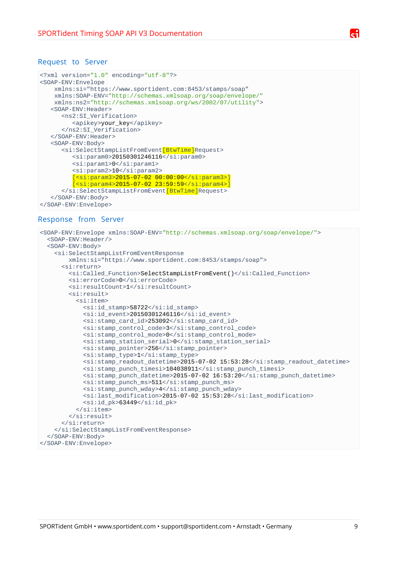```
<?xml version="1.0" encoding="utf-8"?>
<SOAP-ENV:Envelope
     xmlns:si="https://www.sportident.com:8453/stamps/soap"
     xmlns:SOAP-ENV="http://schemas.xmlsoap.org/soap/envelope/"
     xmlns:ns2="http://schemas.xmlsoap.org/ws/2002/07/utility">
    <SOAP-ENV:Header>
       <ns2:SI_Verification>
          <apikey>your_key</apikey>
       </ns2:SI_Verification>
    </SOAP-ENV:Header>
    <SOAP-ENV:Body>
       <si:SelectStampListFromEvent[BtwTime]Request>
         <si:param0>20150301246116</si:param0>
          <si:param1>0</si:param1>
          <si:param2>10</si:param2>
          [<si:param3>2015-07-02 00:00:00</si:param3>]
         [<si:param4>2015-07-02 23:59:59</si:param4>]
       </si:SelectStampListFromEvent[BtwTime]Request>
    </SOAP-ENV:Body>
</SOAP-ENV:Envelope>
```
#### Response from Server

```
<SOAP-ENV:Envelope xmlns:SOAP-ENV="http://schemas.xmlsoap.org/soap/envelope/">
   <SOAP-ENV:Header/>
   <SOAP-ENV:Body>
     <si:SelectStampListFromEventResponse 
         xmlns:si="https://www.sportident.com:8453/stamps/soap">
       <si:return>
         <si:Called_Function>SelectStampListFromEvent()</si:Called_Function>
         <si:errorCode>0</si:errorCode>
         <si:resultCount>1</si:resultCount>
         <si:result>
           <si:item>
             <si:id_stamp>58722</si:id_stamp>
            <si:id event>20150301246116</si:id event>
             <si:stamp_card_id>253092</si:stamp_card_id>
             <si:stamp_control_code>3</si:stamp_control_code>
             <si:stamp_control_mode>0</si:stamp_control_mode>
             <si:stamp_station_serial>0</si:stamp_station_serial>
             <si:stamp_pointer>256</si:stamp_pointer>
             <si:stamp_type>1</si:stamp_type>
             <si:stamp_readout_datetime>2015-07-02 15:53:28</si:stamp_readout_datetime>
             <si:stamp_punch_timesi>104038911</si:stamp_punch_timesi>
             <si:stamp_punch_datetime>2015-07-02 16:53:20</si:stamp_punch_datetime>
             <si:stamp_punch_ms>511</si:stamp_punch_ms>
             <si:stamp_punch_wday>4</si:stamp_punch_wday>
             <si:last_modification>2015-07-02 15:53:28</si:last_modification>
            <si:id pk>63449</si:id pk>
          </si:item>\langlesi:result>
       </si:return>
     </si:SelectStampListFromEventResponse>
  </SOAP-ENV:Body>
</SOAP-ENV:Envelope>
```
SPORTident GmbH • www.sportident.com • support@sportident.com • Arnstadt • Germany 9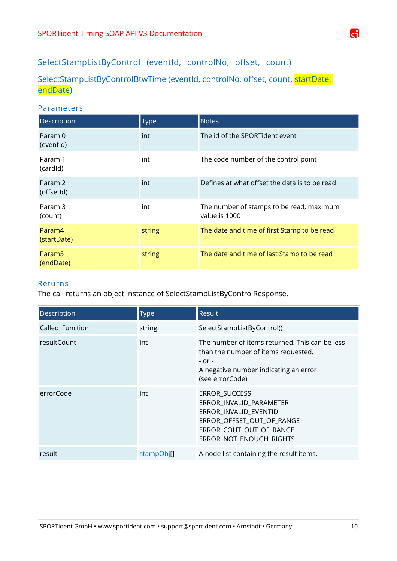# SelectStampListByControl (eventId, controlNo, offset, count)

<span id="page-9-0"></span>SelectStampListByControlBtwTime (eventId, controlNo, offset, count, startDate, endDate)

# Parameters

| Description                     | <b>Type</b> | <b>Notes</b>                                              |
|---------------------------------|-------------|-----------------------------------------------------------|
| Param 0<br>(eventid)            | int         | The id of the SPORTident event                            |
| Param 1<br>(cardid)             | int         | The code number of the control point                      |
| Param 2<br>(offsetId)           | int         | Defines at what offset the data is to be read             |
| Param 3<br>(count)              | int         | The number of stamps to be read, maximum<br>value is 1000 |
| Param4<br>(startDate)           | string      | The date and time of first Stamp to be read               |
| Param <sub>5</sub><br>(endDate) | string      | The date and time of last Stamp to be read                |

## Returns

The call returns an object instance of SelectStampListByControlResponse.

| Description        | <b>Type</b> | Result                                                                                                                                                          |
|--------------------|-------------|-----------------------------------------------------------------------------------------------------------------------------------------------------------------|
| Called_Function    | string      | SelectStampListByControl()                                                                                                                                      |
| <b>resultCount</b> | int         | The number of items returned. This can be less<br>than the number of items requested.<br>$-$ or $-$<br>A negative number indicating an error<br>(see errorCode) |
| errorCode          | int         | <b>ERROR SUCCESS</b><br>ERROR_INVALID_PARAMETER<br>ERROR INVALID EVENTID<br>ERROR_OFFSET_OUT_OF_RANGE<br>ERROR_COUT_OUT_OF_RANGE<br>ERROR NOT ENOUGH RIGHTS     |
| result             | stampObj[]  | A node list containing the result items.                                                                                                                        |

æ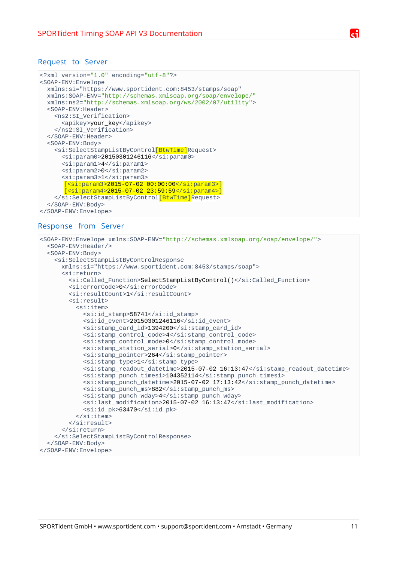```
<?xml version="1.0" encoding="utf-8"?>
<SOAP-ENV:Envelope 
  xmlns:si="https://www.sportident.com:8453/stamps/soap" 
   xmlns:SOAP-ENV="http://schemas.xmlsoap.org/soap/envelope/" 
   xmlns:ns2="http://schemas.xmlsoap.org/ws/2002/07/utility">
   <SOAP-ENV:Header>
     <ns2:SI_Verification>
       <apikey>your_key</apikey>
     </ns2:SI_Verification>
   </SOAP-ENV:Header>
   <SOAP-ENV:Body>
     <si:SelectStampListByControl[BtwTime]Request>
      <si:param0>20150301246116</si:param0>
       <si:param1>4</si:param1>
       <si:param2>0</si:param2>
       <si:param3>1</si:param3>
        [<si:param3>2015-07-02 00:00:00</si:param3>]
        [<si:param4>2015-07-02 23:59:59</si:param4>]
    </si:SelectStampListByControl[BtwTime]Request>
   </SOAP-ENV:Body>
</SOAP-ENV:Envelope>
```
#### Response from Server

```
<SOAP-ENV:Envelope xmlns:SOAP-ENV="http://schemas.xmlsoap.org/soap/envelope/">
   <SOAP-ENV:Header/>
   <SOAP-ENV:Body>
     <si:SelectStampListByControlResponse
       xmlns:si="https://www.sportident.com:8453/stamps/soap">
       <si:return>
         <si:Called_Function>SelectStampListByControl()</si:Called_Function>
         <si:errorCode>0</si:errorCode>
        <si:resultCount>1</si:resultCount>
         <si:result>
           <si:item>
             <si:id_stamp>58741</si:id_stamp>
             <si:id_event>20150301246116</si:id_event>
             <si:stamp_card_id>1394200</si:stamp_card_id>
             <si:stamp_control_code>4</si:stamp_control_code>
             <si:stamp_control_mode>0</si:stamp_control_mode>
             <si:stamp_station_serial>0</si:stamp_station_serial>
             <si:stamp_pointer>264</si:stamp_pointer>
             <si:stamp_type>1</si:stamp_type>
             <si:stamp_readout_datetime>2015-07-02 16:13:47</si:stamp_readout_datetime>
             <si:stamp_punch_timesi>104352114</si:stamp_punch_timesi>
             <si:stamp_punch_datetime>2015-07-02 17:13:42</si:stamp_punch_datetime>
             <si:stamp_punch_ms>882</si:stamp_punch_ms>
             <si:stamp_punch_wday>4</si:stamp_punch_wday>
             <si:last_modification>2015-07-02 16:13:47</si:last_modification>
             <si:id_pk>63470</si:id_pk>
          </si:item>
         </si:result>
       </si:return>
     </si:SelectStampListByControlResponse>
   </SOAP-ENV:Body>
</SOAP-ENV:Envelope>
```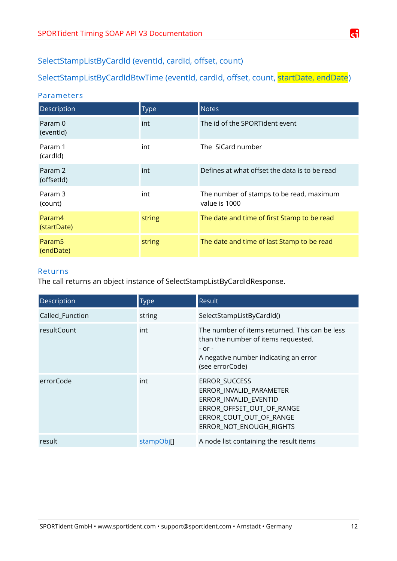# <span id="page-11-1"></span>SelectStampListByCardId (eventId, cardId, offset, count)

<span id="page-11-0"></span>SelectStampListByCardIdBtwTime (eventId, cardId, offset, count, startDate, endDate)

## Parameters

| Description                     | <b>Type</b> | <b>Notes</b>                                              |
|---------------------------------|-------------|-----------------------------------------------------------|
| Param 0<br>(eventid)            | int         | The id of the SPORTident event                            |
| Param 1<br>(cardid)             | int         | The SiCard number                                         |
| Param 2<br>(offsetId)           | int         | Defines at what offset the data is to be read             |
| Param 3<br>(count)              | int         | The number of stamps to be read, maximum<br>value is 1000 |
| Param4<br>(startDate)           | string      | The date and time of first Stamp to be read               |
| Param <sub>5</sub><br>(endDate) | string      | The date and time of last Stamp to be read                |

#### Returns

The call returns an object instance of SelectStampListByCardIdResponse.

| Description     | <b>Type</b> | <b>Result</b>                                                                                                                                                   |
|-----------------|-------------|-----------------------------------------------------------------------------------------------------------------------------------------------------------------|
| Called_Function | string      | SelectStampListByCardId()                                                                                                                                       |
| resultCount     | int         | The number of items returned. This can be less<br>than the number of items requested.<br>$-$ or $-$<br>A negative number indicating an error<br>(see errorCode) |
| errorCode       | int         | ERROR_SUCCESS<br>ERROR_INVALID_PARAMETER<br>ERROR_INVALID_EVENTID<br>ERROR_OFFSET_OUT_OF_RANGE<br>ERROR_COUT_OUT_OF_RANGE<br>ERROR_NOT_ENOUGH_RIGHTS            |
| result          | stampObj[]  | A node list containing the result items                                                                                                                         |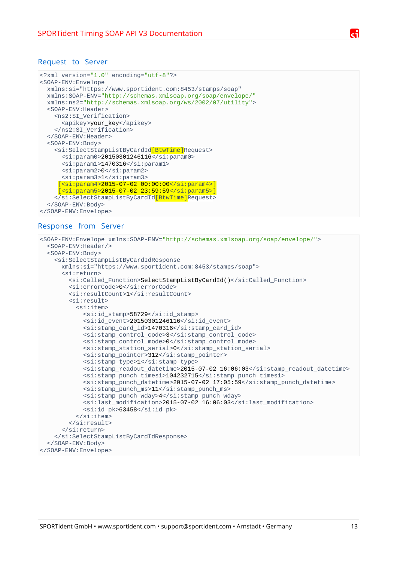```
<?xml version="1.0" encoding="utf-8"?>
<SOAP-ENV:Envelope
  xmlns:si="https://www.sportident.com:8453/stamps/soap"
   xmlns:SOAP-ENV="http://schemas.xmlsoap.org/soap/envelope/"
   xmlns:ns2="http://schemas.xmlsoap.org/ws/2002/07/utility">
   <SOAP-ENV:Header>
     <ns2:SI_Verification>
       <apikey>your_key</apikey>
     </ns2:SI_Verification>
   </SOAP-ENV:Header>
   <SOAP-ENV:Body>
     <si:SelectStampListByCardId[BtwTime]Request>
      <si:param0>20150301246116</si:param0>
      <si:param1>1470316</si:param1>
       <si:param2>0</si:param2>
       <si:param3>1</si:param3>
      [<si:param4>2015-07-02 00:00:00</si:param4>]
       [<si:param5>2015-07-02 23:59:59</si:param5>]
     </si:SelectStampListByCardId[BtwTime]Request>
   </SOAP-ENV:Body>
</SOAP-ENV:Envelope>
```
#### Response from Server

```
<SOAP-ENV:Envelope xmlns:SOAP-ENV="http://schemas.xmlsoap.org/soap/envelope/">
   <SOAP-ENV:Header/>
   <SOAP-ENV:Body>
     <si:SelectStampListByCardIdResponse
       xmlns:si="https://www.sportident.com:8453/stamps/soap">
       <si:return>
         <si:Called_Function>SelectStampListByCardId()</si:Called_Function>
         <si:errorCode>0</si:errorCode>
        <si:resultCount>1</si:resultCount>
         <si:result>
           <si:item>
             <si:id_stamp>58729</si:id_stamp>
             <si:id_event>20150301246116</si:id_event>
             <si:stamp_card_id>1470316</si:stamp_card_id>
             <si:stamp_control_code>3</si:stamp_control_code>
             <si:stamp_control_mode>0</si:stamp_control_mode>
             <si:stamp_station_serial>0</si:stamp_station_serial>
             <si:stamp_pointer>312</si:stamp_pointer>
             <si:stamp_type>1</si:stamp_type>
             <si:stamp_readout_datetime>2015-07-02 16:06:03</si:stamp_readout_datetime>
             <si:stamp_punch_timesi>104232715</si:stamp_punch_timesi>
             <si:stamp_punch_datetime>2015-07-02 17:05:59</si:stamp_punch_datetime>
             <si:stamp_punch_ms>11</si:stamp_punch_ms>
             <si:stamp_punch_wday>4</si:stamp_punch_wday>
             <si:last_modification>2015-07-02 16:06:03</si:last_modification>
             <si:id_pk>63458</si:id_pk>
          </si:item>
         </si:result>
       </si:return>
     </si:SelectStampListByCardIdResponse>
   </SOAP-ENV:Body>
</SOAP-ENV:Envelope>
```
SPORTident GmbH • www.sportident.com • support@sportident.com • Arnstadt • Germany 13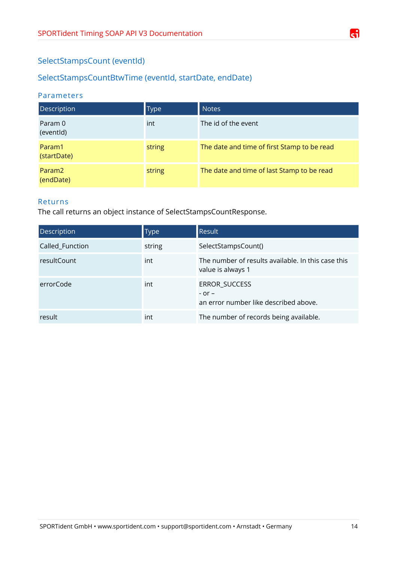# <span id="page-13-1"></span>SelectStampsCount (eventId)

# <span id="page-13-0"></span>SelectStampsCountBtwTime (eventId, startDate, endDate)

## Parameters

| Description                     | <b>Type</b> | <b>Notes</b>                                |
|---------------------------------|-------------|---------------------------------------------|
| Param 0<br>(eventid)            | int         | The id of the event                         |
| Param1<br>(startDate)           | string      | The date and time of first Stamp to be read |
| Param <sub>2</sub><br>(endDate) | string      | The date and time of last Stamp to be read  |

## Returns

The call returns an object instance of SelectStampsCountResponse.

| Description     | <b>Type</b> | <b>Result</b>                                                           |
|-----------------|-------------|-------------------------------------------------------------------------|
| Called_Function | string      | SelectStampsCount()                                                     |
| resultCount     | int         | The number of results available. In this case this<br>value is always 1 |
| errorCode       | int         | ERROR_SUCCESS<br>$-$ or $-$<br>an error number like described above.    |
| result          | int         | The number of records being available.                                  |

æ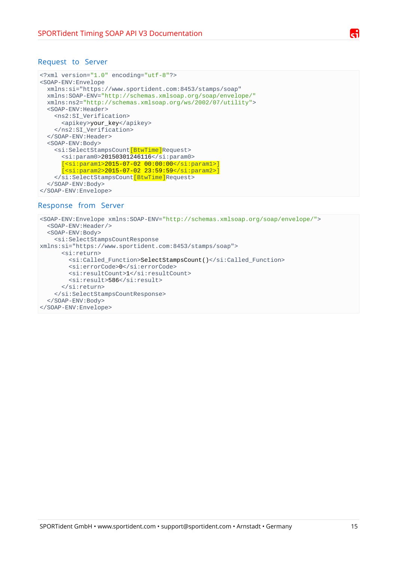```
<?xml version="1.0" encoding="utf-8"?>
<SOAP-ENV:Envelope
  xmlns:si="https://www.sportident.com:8453/stamps/soap" 
  xmlns:SOAP-ENV="http://schemas.xmlsoap.org/soap/envelope/" 
  xmlns:ns2="http://schemas.xmlsoap.org/ws/2002/07/utility">
  <SOAP-ENV:Header>
     <ns2:SI_Verification>
       <apikey>your_key</apikey>
     </ns2:SI_Verification>
  </SOAP-ENV:Header>
   <SOAP-ENV:Body>
     <si:SelectStampsCount[BtwTime]Request>
       <si:param0>20150301246116</si:param0>
       [<si:param1>2015-07-02 00:00:00</si:param1>]
       [<si:param2>2015-07-02 23:59:59</si:param2>]
     </si:SelectStampsCount[BtwTime]Request>
  </SOAP-ENV:Body>
</SOAP-ENV:Envelope>
```
#### Response from Server

```
<SOAP-ENV:Envelope xmlns:SOAP-ENV="http://schemas.xmlsoap.org/soap/envelope/">
  <SOAP-ENV:Header/>
   <SOAP-ENV:Body>
     <si:SelectStampsCountResponse 
xmlns:si="https://www.sportident.com:8453/stamps/soap">
       <si:return>
         <si:Called_Function>SelectStampsCount()</si:Called_Function>
         <si:errorCode>0</si:errorCode>
         <si:resultCount>1</si:resultCount>
        <si:result>586</si:result>
       </si:return>
     </si:SelectStampsCountResponse>
  </SOAP-ENV:Body>
</SOAP-ENV:Envelope>
```
ci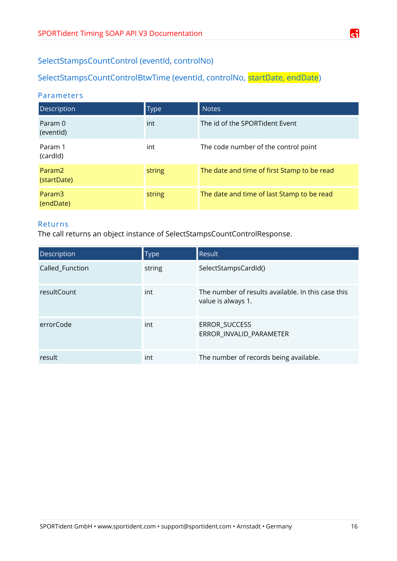

# <span id="page-15-1"></span>SelectStampsCountControl (eventId, controlNo)

# <span id="page-15-0"></span>SelectStampsCountControlBtwTime (eventId, controlNo, startDate, endDate)

## Parameters

| Description                       | <b>Type</b> | <b>Notes</b>                                |
|-----------------------------------|-------------|---------------------------------------------|
| Param 0<br>(eventid)              | int         | The id of the SPORTident Event              |
| Param 1<br>(cardid)               | int         | The code number of the control point        |
| Param <sub>2</sub><br>(startDate) | string      | The date and time of first Stamp to be read |
| Param3<br>(endDate)               | string      | The date and time of last Stamp to be read  |

## Returns

The call returns an object instance of SelectStampsCountControlResponse.

| <b>Description</b> | <b>Type</b> | <b>Result</b>                                                            |
|--------------------|-------------|--------------------------------------------------------------------------|
| Called_Function    | string      | SelectStampsCardId()                                                     |
| resultCount        | int         | The number of results available. In this case this<br>value is always 1. |
| errorCode          | int         | ERROR_SUCCESS<br>ERROR_INVALID_PARAMETER                                 |
| result             | int         | The number of records being available.                                   |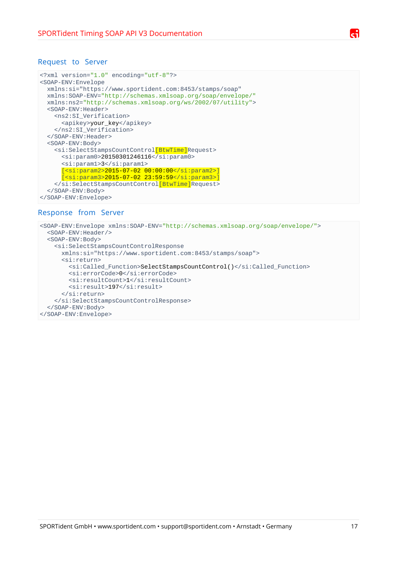```
<?xml version="1.0" encoding="utf-8"?>
<SOAP-ENV:Envelope
  xmlns:si="https://www.sportident.com:8453/stamps/soap"
  xmlns:SOAP-ENV="http://schemas.xmlsoap.org/soap/envelope/"
  xmlns:ns2="http://schemas.xmlsoap.org/ws/2002/07/utility">
  <SOAP-ENV:Header>
     <ns2:SI_Verification>
       <apikey>your_key</apikey>
     </ns2:SI_Verification>
   </SOAP-ENV:Header>
   <SOAP-ENV:Body>
     <si:SelectStampsCountControl[BtwTime]Request>
      <si:param0>20150301246116</si:param0>
       <si:param1>3</si:param1>
       [<si:param2>2015-07-02 00:00:00</si:param2>]
      [<si:param3>2015-07-02 23:59:59</si:param3>]
    </si:SelectStampsCountControl[BtwTime]Request>
   </SOAP-ENV:Body>
</SOAP-ENV:Envelope>
```
#### Response from Server

```
<SOAP-ENV:Envelope xmlns:SOAP-ENV="http://schemas.xmlsoap.org/soap/envelope/">
  <SOAP-ENV:Header/>
   <SOAP-ENV:Body>
     <si:SelectStampsCountControlResponse
      xmlns:si="https://www.sportident.com:8453/stamps/soap">
       <si:return>
        <si:Called Function>SelectStampsCountControl()</si:Called Function>
         <si:errorCode>0</si:errorCode>
        <si:resultCount>1</si:resultCount>
        <si:result>197</si:result>
       </si:return>
     </si:SelectStampsCountControlResponse>
  </SOAP-ENV:Body>
</SOAP-ENV:Envelope>
```
r: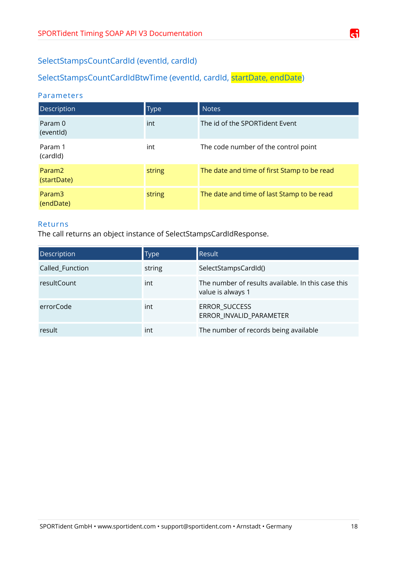

# <span id="page-17-1"></span>SelectStampsCountCardId (eventId, cardId)

<span id="page-17-0"></span>SelectStampsCountCardIdBtwTime (eventId, cardId, startDate, endDate)

## Parameters

| <b>Description</b>                | <b>Type</b> | <b>Notes</b>                                |
|-----------------------------------|-------------|---------------------------------------------|
| Param 0<br>(eventid)              | int         | The id of the SPORTident Event              |
| Param 1<br>(cardid)               | int         | The code number of the control point        |
| Param <sub>2</sub><br>(startDate) | string      | The date and time of first Stamp to be read |
| Param3<br>(endDate)               | string      | The date and time of last Stamp to be read  |

## Returns

The call returns an object instance of SelectStampsCardIdResponse.

| Description     | <b>Type</b> | <b>Result</b>                                                           |
|-----------------|-------------|-------------------------------------------------------------------------|
| Called_Function | string      | SelectStampsCardId()                                                    |
| resultCount     | int         | The number of results available. In this case this<br>value is always 1 |
| errorCode       | int         | ERROR_SUCCESS<br>ERROR_INVALID_PARAMETER                                |
| result          | int         | The number of records being available                                   |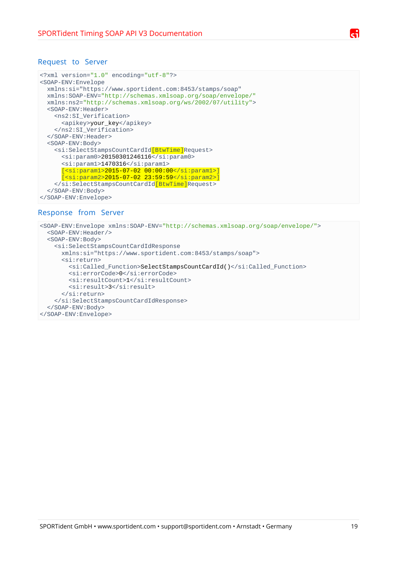```
<?xml version="1.0" encoding="utf-8"?>
<SOAP-ENV:Envelope
  xmlns:si="https://www.sportident.com:8453/stamps/soap" 
  xmlns:SOAP-ENV="http://schemas.xmlsoap.org/soap/envelope/" 
  xmlns:ns2="http://schemas.xmlsoap.org/ws/2002/07/utility">
  <SOAP-ENV:Header>
     <ns2:SI_Verification>
       <apikey>your_key</apikey>
     </ns2:SI_Verification>
   </SOAP-ENV:Header>
   <SOAP-ENV:Body>
     <si:SelectStampsCountCardId[BtwTime]Request>
      <si:param0>20150301246116</si:param0>
      <si:param1>1470316</si:param1>
       [<si:param1>2015-07-02 00:00:00</si:param1>]
       [<si:param2>2015-07-02 23:59:59</si:param2>]
     </si:SelectStampsCountCardId[BtwTime]Request>
   </SOAP-ENV:Body>
</SOAP-ENV:Envelope>
```
#### Response from Server

```
<SOAP-ENV:Envelope xmlns:SOAP-ENV="http://schemas.xmlsoap.org/soap/envelope/">
  <SOAP-ENV:Header/>
   <SOAP-ENV:Body>
     <si:SelectStampsCountCardIdResponse
      xmlns:si="https://www.sportident.com:8453/stamps/soap">
       <si:return>
        <si:Called Function>SelectStampsCountCardId()</si:Called Function>
         <si:errorCode>0</si:errorCode>
        <si:resultCount>1</si:resultCount>
        <si:result>3</si:result>
       </si:return>
     </si:SelectStampsCountCardIdResponse>
  </SOAP-ENV:Body>
</SOAP-ENV:Envelope>
```
r: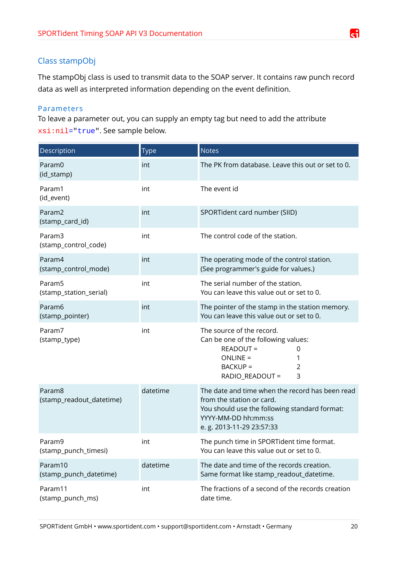## <span id="page-19-0"></span>Class stampObj

The stampObj class is used to transmit data to the SOAP server. It contains raw punch record data as well as interpreted information depending on the event definition.

## Parameters

To leave a parameter out, you can supply an empty tag but need to add the attribute xsi:nil="true". See sample below.

| Description                                  | Type     | <b>Notes</b>                                                                                                                                                                      |
|----------------------------------------------|----------|-----------------------------------------------------------------------------------------------------------------------------------------------------------------------------------|
| Param0<br>(id_stamp)                         | int      | The PK from database. Leave this out or set to 0.                                                                                                                                 |
| Param1<br>(id_event)                         | int      | The event id                                                                                                                                                                      |
| Param2<br>(stamp_card_id)                    | int      | SPORTident card number (SIID)                                                                                                                                                     |
| Param3<br>(stamp_control_code)               | int      | The control code of the station.                                                                                                                                                  |
| Param4<br>(stamp_control_mode)               | int      | The operating mode of the control station.<br>(See programmer's guide for values.)                                                                                                |
| Param <sub>5</sub><br>(stamp_station_serial) | int      | The serial number of the station.<br>You can leave this value out or set to 0.                                                                                                    |
| Param6<br>(stamp_pointer)                    | int      | The pointer of the stamp in the station memory.<br>You can leave this value out or set to 0.                                                                                      |
| Param7<br>(stamp_type)                       | int      | The source of the record.<br>Can be one of the following values:<br>READOUT =<br>0<br><b>ONLINE =</b><br>1<br><b>BACKUP =</b><br>2<br>$\overline{3}$<br>RADIO_READOUT =           |
| Param8<br>(stamp_readout_datetime)           | datetime | The date and time when the record has been read<br>from the station or card.<br>You should use the following standard format:<br>YYYY-MM-DD hh:mm:ss<br>e. g. 2013-11-29 23:57:33 |
| Param9<br>(stamp_punch_timesi)               | ınt      | The punch time in SPORTident time format.<br>You can leave this value out or set to 0.                                                                                            |
| Param10<br>(stamp_punch_datetime)            | datetime | The date and time of the records creation.<br>Same format like stamp_readout_datetime.                                                                                            |
| Param11<br>(stamp_punch_ms)                  | int      | The fractions of a second of the records creation<br>date time.                                                                                                                   |

ਰੀ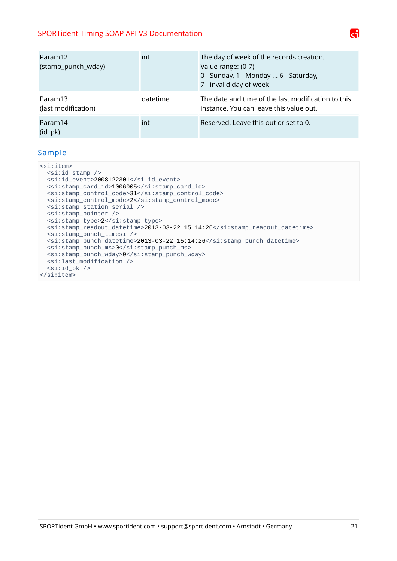| Param12<br>(stamp_punch_wday)       | int      | The day of week of the records creation.<br>Value range: (0-7)<br>0 - Sunday, 1 - Monday  6 - Saturday,<br>7 - invalid day of week |
|-------------------------------------|----------|------------------------------------------------------------------------------------------------------------------------------------|
| Param13<br>(last modification)      | datetime | The date and time of the last modification to this<br>instance. You can leave this value out.                                      |
| Param14<br>$(id$ <sub>_pk</sub> $)$ | int      | Reserved. Leave this out or set to 0.                                                                                              |

## Sample

<si:item>  $<$ si:id\_stamp /> <si:id\_event>2008122301</si:id\_event> <si:stamp\_card\_id>1006005</si:stamp\_card\_id> <si:stamp\_control\_code>31</si:stamp\_control\_code> <si:stamp\_control\_mode>2</si:stamp\_control\_mode> <si:stamp\_station\_serial /> <si:stamp\_pointer /> <si:stamp\_type>2</si:stamp\_type> <si:stamp\_readout\_datetime>2013-03-22 15:14:26</si:stamp\_readout\_datetime> <si:stamp\_punch\_timesi /> <si:stamp\_punch\_datetime>2013-03-22 15:14:26</si:stamp\_punch\_datetime> <si:stamp\_punch\_ms>0</si:stamp\_punch\_ms> <si:stamp\_punch\_wday>0</si:stamp\_punch\_wday> <si:last\_modification />  $<$ si:id\_pk /> </si:item>

Æ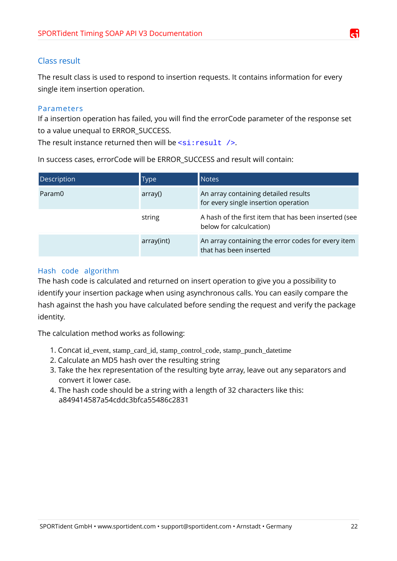## <span id="page-21-0"></span>Class result

The result class is used to respond to insertion requests. It contains information for every single item insertion operation.

## Parameters

If a insertion operation has failed, you will find the errorCode parameter of the response set to a value unequal to ERROR\_SUCCESS.

The result instance returned then will be  $\leq$ si: result />.

In success cases, errorCode will be ERROR\_SUCCESS and result will contain:

| Description | Type       | <b>Notes</b>                                                                    |
|-------------|------------|---------------------------------------------------------------------------------|
| Param0      | array()    | An array containing detailed results<br>for every single insertion operation    |
|             | string     | A hash of the first item that has been inserted (see<br>below for calculcation) |
|             | array(int) | An array containing the error codes for every item<br>that has been inserted    |

## Hash code algorithm

The hash code is calculated and returned on insert operation to give you a possibility to identify your insertion package when using asynchronous calls. You can easily compare the hash against the hash you have calculated before sending the request and verify the package identity.

The calculation method works as following:

- 1. Concat id\_event, stamp\_card\_id, stamp\_control\_code, stamp\_punch\_datetime
- 2. Calculate an MD5 hash over the resulting string
- 3. Take the hex representation of the resulting byte array, leave out any separators and convert it lower case.
- 4. The hash code should be a string with a length of 32 characters like this: a849414587a54cddc3bfca55486c2831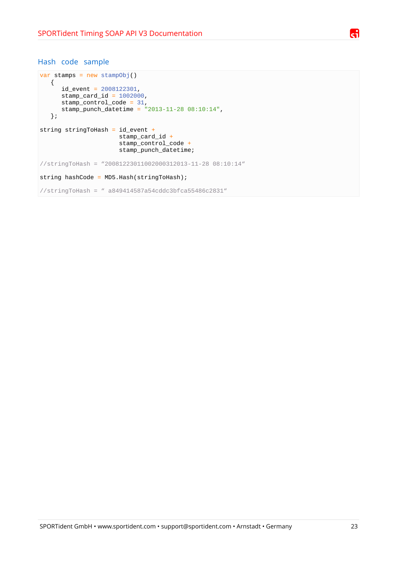## A

#### Hash code sample

```
var stamps = new stampObj()
    {
      id<sub>_</sub>event = 2008122301,
      stamp\_card\_id = 1002000,
      stamp_control_code = 31,
       stamp_punch_datetime = "2013-11-28 08:10:14",
    };
string stringToHash = id_event +
                        stamp_card_id +
                       stamp_control_code +
                       stamp_punch_datetime;
//stringToHash = "20081223011002000312013-11-28 08:10:14" 
string hashCode = MD5.Hash(stringToHash);
//stringToHash = " a849414587a54cddc3bfca55486c2831"
```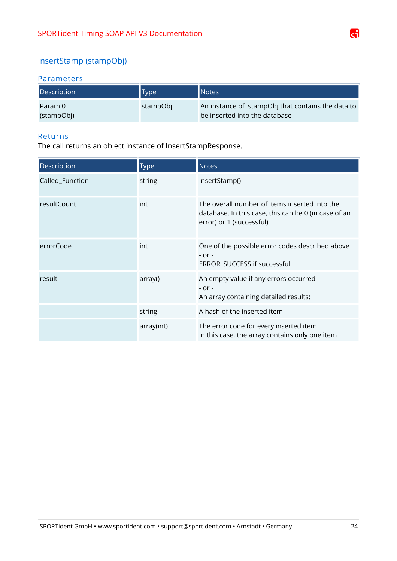# <span id="page-23-0"></span>InsertStamp (stampObj)

## Parameters

| Description           | <b>Type</b> | Notes                                                                              |
|-----------------------|-------------|------------------------------------------------------------------------------------|
| Param 0<br>(stampObj) | stampObj    | An instance of stampObj that contains the data to<br>be inserted into the database |

#### Returns

The call returns an object instance of InsertStampResponse.

| Description     | <b>Type</b> | <b>Notes</b>                                                                                                                      |
|-----------------|-------------|-----------------------------------------------------------------------------------------------------------------------------------|
| Called_Function | string      | InsertStamp()                                                                                                                     |
| resultCount     | int         | The overall number of items inserted into the<br>database. In this case, this can be 0 (in case of an<br>error) or 1 (successful) |
| errorCode       | int         | One of the possible error codes described above<br>$-$ or $-$<br>ERROR_SUCCESS if successful                                      |
| result          | array()     | An empty value if any errors occurred<br>$-$ or $-$<br>An array containing detailed results:                                      |
|                 | string      | A hash of the inserted item                                                                                                       |
|                 | array(int)  | The error code for every inserted item<br>In this case, the array contains only one item                                          |

G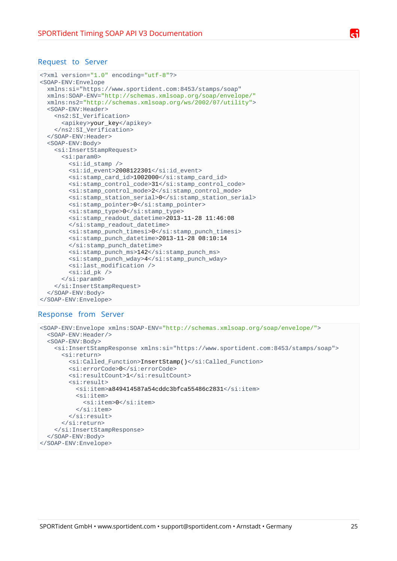```
<?xml version="1.0" encoding="utf-8"?>
<SOAP-ENV:Envelope
  xmlns:si="https://www.sportident.com:8453/stamps/soap" 
   xmlns:SOAP-ENV="http://schemas.xmlsoap.org/soap/envelope/" 
   xmlns:ns2="http://schemas.xmlsoap.org/ws/2002/07/utility">
   <SOAP-ENV:Header>
     <ns2:SI_Verification>
       <apikey>your_key</apikey>
     </ns2:SI_Verification>
   </SOAP-ENV:Header>
   <SOAP-ENV:Body>
     <si:InsertStampRequest>
       <si:param0>
         <si:id_stamp />
        <si:id event>2008122301</si:id event>
         <si:stamp_card_id>1002000</si:stamp_card_id>
         <si:stamp_control_code>31</si:stamp_control_code>
         <si:stamp_control_mode>2</si:stamp_control_mode>
         <si:stamp_station_serial>0</si:stamp_station_serial>
         <si:stamp_pointer>0</si:stamp_pointer>
         <si:stamp_type>0</si:stamp_type>
         <si:stamp_readout_datetime>2013-11-28 11:46:08
         </si:stamp_readout_datetime>
         <si:stamp_punch_timesi>0</si:stamp_punch_timesi>
         <si:stamp_punch_datetime>2013-11-28 08:10:14
         </si:stamp_punch_datetime>
         <si:stamp_punch_ms>142</si:stamp_punch_ms>
         <si:stamp_punch_wday>4</si:stamp_punch_wday>
        <si:last modification />
        <si:id_pk />
      </si:param0>
     </si:InsertStampRequest>
   </SOAP-ENV:Body>
</SOAP-ENV:Envelope>
```
#### Response from Server

```
<SOAP-ENV:Envelope xmlns:SOAP-ENV="http://schemas.xmlsoap.org/soap/envelope/">
   <SOAP-ENV:Header/>
   <SOAP-ENV:Body>
     <si:InsertStampResponse xmlns:si="https://www.sportident.com:8453/stamps/soap">
       <si:return>
         <si:Called_Function>InsertStamp()</si:Called_Function>
         <si:errorCode>0</si:errorCode>
        <si:resultCount>1</si:resultCount>
         <si:result>
          <si:item>a849414587a54cddc3bfca55486c2831</si:item>
           <si:item>
             <si:item>0</si:item>
          </si:item>\langlesi:result>
       </si:return>
     </si:InsertStampResponse>
  </SOAP-ENV:Body>
</SOAP-ENV:Envelope>
```
SPORTident GmbH • www.sportident.com • support@sportident.com • Arnstadt • Germany 25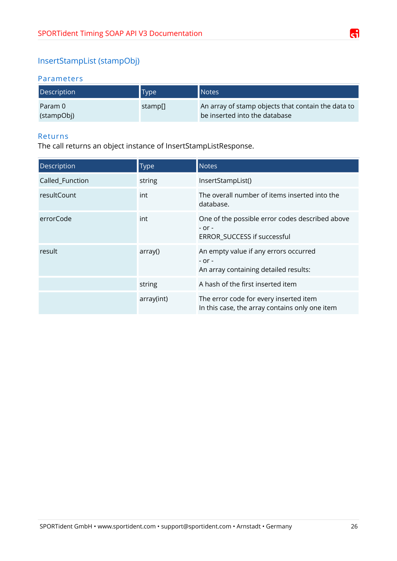# <span id="page-25-0"></span>InsertStampList (stampObj)

## Parameters

| Description           | <b>Type</b> | Notes                                                                               |
|-----------------------|-------------|-------------------------------------------------------------------------------------|
| Param 0<br>(stampObj) | stamp[]     | An array of stamp objects that contain the data to<br>be inserted into the database |

#### Returns

The call returns an object instance of InsertStampListResponse.

| Description        | <b>Type</b> | <b>Notes</b>                                                                                 |
|--------------------|-------------|----------------------------------------------------------------------------------------------|
| Called_Function    | string      | InsertStampList()                                                                            |
| <b>resultCount</b> | int         | The overall number of items inserted into the<br>database.                                   |
| errorCode          | int         | One of the possible error codes described above<br>$-$ or $-$<br>ERROR_SUCCESS if successful |
| result             | array()     | An empty value if any errors occurred<br>$-$ or $-$<br>An array containing detailed results: |
|                    | string      | A hash of the first inserted item                                                            |
|                    | array(int)  | The error code for every inserted item<br>In this case, the array contains only one item     |

G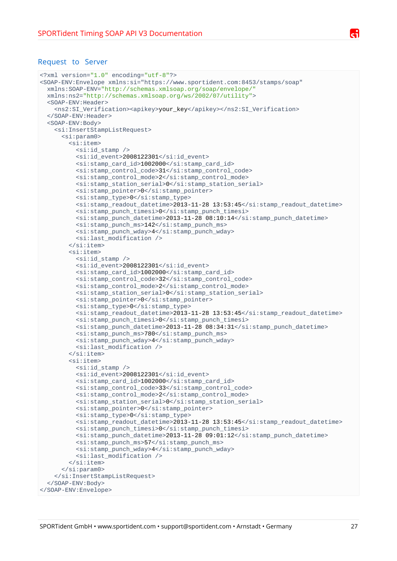```
<?xml version="1.0" encoding="utf-8"?>
<SOAP-ENV:Envelope xmlns:si="https://www.sportident.com:8453/stamps/soap" 
  xmlns:SOAP-ENV="http://schemas.xmlsoap.org/soap/envelope/" 
   xmlns:ns2="http://schemas.xmlsoap.org/ws/2002/07/utility">
   <SOAP-ENV:Header>
     <ns2:SI_Verification><apikey>your_key</apikey></ns2:SI_Verification>
   </SOAP-ENV:Header>
   <SOAP-ENV:Body>
     <si:InsertStampListRequest>
      <si:param0>
         <si:item>
          <si:id_stamp />
           <si:id_event>2008122301</si:id_event>
           <si:stamp_card_id>1002000</si:stamp_card_id>
           <si:stamp_control_code>31</si:stamp_control_code>
           <si:stamp_control_mode>2</si:stamp_control_mode>
           <si:stamp_station_serial>0</si:stamp_station_serial>
           <si:stamp_pointer>0</si:stamp_pointer>
           <si:stamp_type>0</si:stamp_type>
           <si:stamp_readout_datetime>2013-11-28 13:53:45</si:stamp_readout_datetime>
           <si:stamp_punch_timesi>0</si:stamp_punch_timesi>
           <si:stamp_punch_datetime>2013-11-28 08:10:14</si:stamp_punch_datetime>
           <si:stamp_punch_ms>142</si:stamp_punch_ms>
           <si:stamp_punch_wday>4</si:stamp_punch_wday>
           <si:last_modification />
         </si:item>
         <si:item>
          <si:id stamp /> <si:id_event>2008122301</si:id_event>
           <si:stamp_card_id>1002000</si:stamp_card_id>
           <si:stamp_control_code>32</si:stamp_control_code>
           <si:stamp_control_mode>2</si:stamp_control_mode>
           <si:stamp_station_serial>0</si:stamp_station_serial>
           <si:stamp_pointer>0</si:stamp_pointer>
           <si:stamp_type>0</si:stamp_type>
          <si:stamp_readout_datetime>2013-11-28 13:53:45</si:stamp_readout_datetime>
           <si:stamp_punch_timesi>0</si:stamp_punch_timesi>
          <si:stamp_punch_datetime>2013-11-28 08:34:31</si:stamp_punch_datetime>
           <si:stamp_punch_ms>780</si:stamp_punch_ms>
           <si:stamp_punch_wday>4</si:stamp_punch_wday>
           <si:last_modification />
         </si:item>
         <si:item>
           <si:id_stamp />
           <si:id_event>2008122301</si:id_event>
           <si:stamp_card_id>1002000</si:stamp_card_id>
           <si:stamp_control_code>33</si:stamp_control_code>
           <si:stamp_control_mode>2</si:stamp_control_mode>
           <si:stamp_station_serial>0</si:stamp_station_serial>
           <si:stamp_pointer>0</si:stamp_pointer>
           <si:stamp_type>0</si:stamp_type>
           <si:stamp_readout_datetime>2013-11-28 13:53:45</si:stamp_readout_datetime>
           <si:stamp_punch_timesi>0</si:stamp_punch_timesi>
           <si:stamp_punch_datetime>2013-11-28 09:01:12</si:stamp_punch_datetime>
           <si:stamp_punch_ms>57</si:stamp_punch_ms>
           <si:stamp_punch_wday>4</si:stamp_punch_wday>
           <si:last_modification />
        \langlesi'item>
      </si:param0>
     </si:InsertStampListRequest>
   </SOAP-ENV:Body>
</SOAP-ENV:Envelope>
```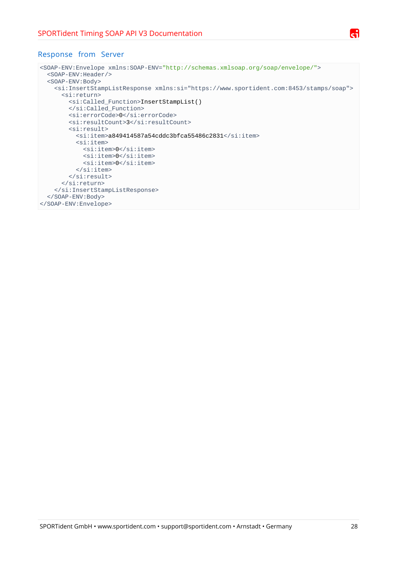

#### Response from Server

```
<SOAP-ENV:Envelope xmlns:SOAP-ENV="http://schemas.xmlsoap.org/soap/envelope/">
  <SOAP-ENV:Header/>
  <SOAP-ENV:Body>
     <si:InsertStampListResponse xmlns:si="https://www.sportident.com:8453/stamps/soap">
       <si:return>
         <si:Called_Function>InsertStampList()
         </si:Called_Function>
         <si:errorCode>0</si:errorCode>
         <si:resultCount>3</si:resultCount>
         <si:result>
           <si:item>a849414587a54cddc3bfca55486c2831</si:item>
          <si:item> <si:item>0</si:item>
             <si:item>0</si:item>
             <si:item>0</si:item>
           </si:item>
        \langlesi:result>
       </si:return>
    </si:InsertStampListResponse>
  </SOAP-ENV:Body>
</SOAP-ENV:Envelope>
```